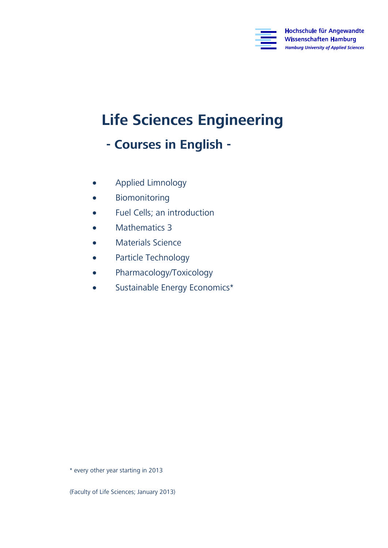

# **Life Sciences Engineering**

## **- Courses in English -**

- Applied Limnology<br>• Biomonitoring
- Biomonitoring<br>• Euel Cells: an in
- Fuel Cells; an introduction
- Mathematics 3<br>• Materials Scien
- Materials Science<br>• Particle Technolog
- Particle Technology
- Pharmacology/Toxicology<br>• Sustainable Energy Econol
- Sustainable Energy Economics\*

\* every other year starting in 2013

(Faculty of Life Sciences; January 2013)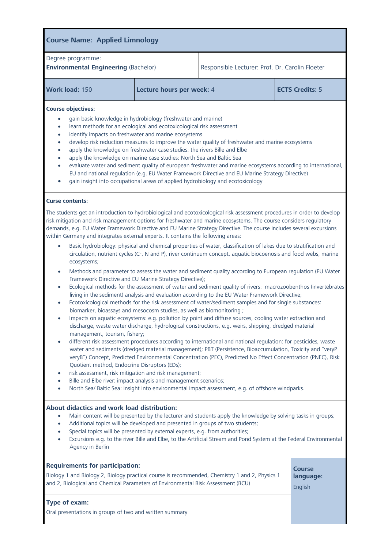| Degree programme:<br><b>Environmental Engineering (Bachelor)</b> |                                                                                                                                                                                                                                                                                                                                                   | Responsible Lecturer: Prof. Dr. Carolin Floeter                                                                                                                                                                                                                                                                                                                                                       |  |
|------------------------------------------------------------------|---------------------------------------------------------------------------------------------------------------------------------------------------------------------------------------------------------------------------------------------------------------------------------------------------------------------------------------------------|-------------------------------------------------------------------------------------------------------------------------------------------------------------------------------------------------------------------------------------------------------------------------------------------------------------------------------------------------------------------------------------------------------|--|
| Work load: 150                                                   | Lecture hours per week: 4                                                                                                                                                                                                                                                                                                                         | <b>ECTS Credits: 5</b>                                                                                                                                                                                                                                                                                                                                                                                |  |
| <b>Course objectives:</b><br>$\bullet$<br>$\bullet$<br>$\bullet$ | gain basic knowledge in hydrobiology (freshwater and marine)<br>learn methods for an ecological and ecotoxicological risk assessment<br>identify impacts on freshwater and marine ecosystems<br>apply the knowledge on freshwater case studies: the rivers Bille and Elbe<br>apply the knowledge on marine case studies: North Sea and Baltic Sea | develop risk reduction measures to improve the water quality of freshwater and marine ecosystems<br>evaluate water and sediment quality of european freshwater and marine ecosystems according to international,<br>EU and national regulation (e.g. EU Water Framework Directive and EU Marine Strategy Directive)<br>gain insight into occupational areas of applied hydrobiology and ecotoxicology |  |

risk mitigation and risk management options for freshwater and marine ecosystems. The course considers regulatory demands, e.g. EU Water Framework Directive and EU Marine Strategy Directive. The course includes several excursions within Germany and integrates external experts. It contains the following areas:

- Basic hydrobiology: physical and chemical properties of water, classification of lakes due to stratification and<br>  $\frac{1}{2}$  circulation puttiont cucles (C- N and B), river continuum concent, aquatic bioconogic and food we circulation, nutrient cycles (C-, N and P), river continuum continuum continuum continuum continuum continuum continuum continuum continuum continuum continuum continuum continuum continuum continuum continuum continuum co
	- ecosystems;<br>Methods and parameter to assess the water and sediment quality according to European regulation (EU Water<br>Examework Directive and EU Marine Strategy Directive);
	- Ecological methods for the assessment of water and sediment quality of rivers: macrozoobenthos (invertebrates
	- Ecotoxicological methods for the risk assessment of water/sediment samples and for single substances:<br>
	biomarker, bioaccave and mesocorm studies, as well as biomanitoring :
	- Impacts on aquatic ecosystems: e.g. pollution by point and diffuse sources, cooling water extraction and discharge water discharge, budgelesial constructions, e.g. weige shipping dredged material discharge, waste water discharge, hydrological constructions, e.g. weirs, shipping, dredged material
	- different risk assessment procedures according to international and national regulation: for pesticides, waste water and sediments (dredged material management); PBT (Persistence, Bioaccumulation, Toxicity and "veryP veryB") Concept, Predicted Environmental Concentration (PEC), Predicted No Effect Concentration (PNEC), Risk Quotient method, Endocrine Disruptors (EDs);
	- $\bullet$  risk assessment, risk mitigation and risk management;
	- Bille and Elbe river: impact analysis and management scenarios;
	- North Sea/ Baltic Sea: insight into environmental impact assessment, e.g. of offshore windparks.

#### About didactics and work load distribution:

- Main content will be presented by the lecturer and students apply the knowledge by solving tasks in groups;<br> **Additional topics will be developed and presented in groups of two students:** 
	- Additional topics will be developed and presented in groups of two students;
	- Special topics will be presented by external experts, e.g. from authorities;
	- Excursions e.g. to the river Bille and Elbe, to the Artificial Stream and Pond System at the Federal Environmental  $J - J$

| <b>Requirements for participation:</b>                                                         | <b>Course</b> |
|------------------------------------------------------------------------------------------------|---------------|
| Biology 1 and Biology 2, Biology practical course is recommended, Chemistry 1 and 2, Physics 1 | language:     |
| and 2, Biological and Chemical Parameters of Environmental Risk Assessment (BCU)               | English       |
| <b>Type of exam:</b><br>Oral presentations in groups of two and written summary                |               |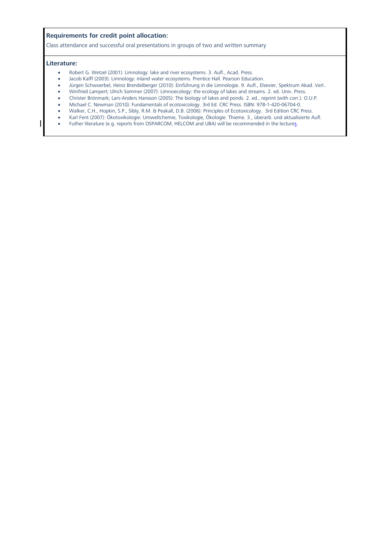**Requirements for credit point allocation:** Class attendance and successful oral presentations in groups of two and written summary

- **Literature:** Robert G. Wetzel (2001): Limnology: lake and river ecosystems. 3. Aufl., Acad. Press.
	- Jacob Kalff (2003): Limnology: inland water ecosystems. Prentice Hall. Pearson Education.<br>• Jürgen Schwoerbel, Heinz Brendelberger (2010): Einführung in die Limnologie. 9. Aufl. Els
	- Jürgen Schwoerbel, Heinz Brendelberger (2010): Einführung in die Limnologie. 9. Aufl., Elsevier, Spektrum Akad. Verl..
	- Winfried Lampert; Ulrich Sommer (2007): Limnoecology: the ecology of lakes and streams. 2. ed. Univ. Press.<br>• Christer Brönmark: Lars-Anders Hansson (2005): The biology of lakes and ponds. 2. ed. reprint (with corr.).
	- Christer Brönmark; Lars-Anders Hansson (2005): The biology of lakes and ponds. 2. ed., reprint (with corr.). O.U.P.<br>• Michael C. Newman (2010): Fundamentals of ecotoxicology. 3rd Ed. CRC Press. ISBN: 978-1-420-06704-0.
	- Michael C. Newman (2010): Fundamentals of ecotoxicology. 3rd Ed. CRC Press. ISBN: 978-1-420-06704-0.
	- Walker, C.H., Hopkin, S.P., Sibly, R.M. & Peakall, D.B. (2006): Principles of Ecotoxicology. 3rd Edition CRC Press.
	- Karl Fent (2007): Ökotoxikologie: Umweltchemie, Toxikologie, Ökologie. Thieme. 3., überarb. und aktualisierte Aufl.
	- Futher literature (e.g. reports from OSPARCOM, HELCOM and UBA) will be recommended in the lectures.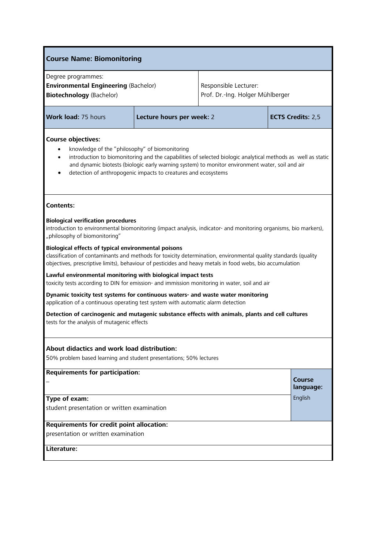| <b>Course Name: Biomonitoring</b>                                                                                                                                                                                                                                                                                                                                             |  |                                                           |  |                     |
|-------------------------------------------------------------------------------------------------------------------------------------------------------------------------------------------------------------------------------------------------------------------------------------------------------------------------------------------------------------------------------|--|-----------------------------------------------------------|--|---------------------|
| Degree programmes:<br><b>Environmental Engineering (Bachelor)</b><br><b>Biotechnology (Bachelor)</b>                                                                                                                                                                                                                                                                          |  | Responsible Lecturer:<br>Prof. Dr.-Ing. Holger Mühlberger |  |                     |
| <b>Work load: 75 hours</b><br>Lecture hours per week: 2                                                                                                                                                                                                                                                                                                                       |  | <b>ECTS Credits: 2,5</b>                                  |  |                     |
| <b>Course objectives:</b><br>knowledge of the "philosophy" of biomonitoring<br>introduction to biomonitoring and the capabilities of selected biologic analytical methods as well as static<br>and dynamic biotests (biologic early warning system) to monitor environment water, soil and air<br>detection of anthropogenic impacts to creatures and ecosystems<br>$\bullet$ |  |                                                           |  |                     |
| <b>Contents:</b>                                                                                                                                                                                                                                                                                                                                                              |  |                                                           |  |                     |
| <b>Biological verification procedures</b><br>introduction to environmental biomonitoring (impact analysis, indicator- and monitoring organisms, bio markers),<br>"philosophy of biomonitoring"                                                                                                                                                                                |  |                                                           |  |                     |
| Biological effects of typical environmental poisons<br>classification of contaminants and methods for toxicity determination, environmental quality standards (quality<br>objectives, prescriptive limits), behaviour of pesticides and heavy metals in food webs, bio accumulation                                                                                           |  |                                                           |  |                     |
| Lawful environmental monitoring with biological impact tests<br>toxicity tests according to DIN for emission- and immission monitoring in water, soil and air                                                                                                                                                                                                                 |  |                                                           |  |                     |
| Dynamic toxicity test systems for continuous waters- and waste water monitoring<br>application of a continuous operating test system with automatic alarm detection                                                                                                                                                                                                           |  |                                                           |  |                     |
| Detection of carcinogenic and mutagenic substance effects with animals, plants and cell cultures<br>tests for the analysis of mutagenic effects                                                                                                                                                                                                                               |  |                                                           |  |                     |
| About didactics and work load distribution:<br>50% problem based learning and student presentations; 50% lectures                                                                                                                                                                                                                                                             |  |                                                           |  |                     |
| <b>Requirements for participation:</b>                                                                                                                                                                                                                                                                                                                                        |  |                                                           |  | Course<br>language: |
| Type of exam:<br>student presentation or written examination                                                                                                                                                                                                                                                                                                                  |  |                                                           |  | English             |
| Requirements for credit point allocation:<br>presentation or written examination                                                                                                                                                                                                                                                                                              |  |                                                           |  |                     |
| Literature:                                                                                                                                                                                                                                                                                                                                                                   |  |                                                           |  |                     |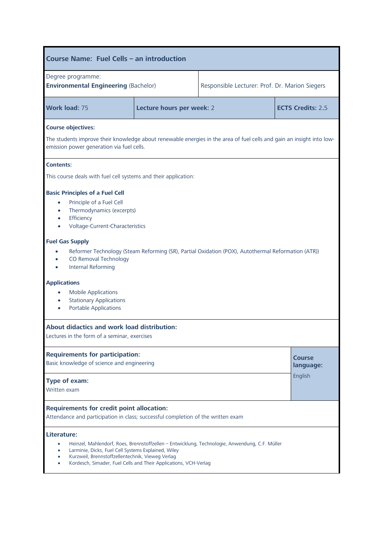| Course Name: Fuel Cells - an introduction                                                                                                                                                                                                                                                    |                           |                          |  |                     |
|----------------------------------------------------------------------------------------------------------------------------------------------------------------------------------------------------------------------------------------------------------------------------------------------|---------------------------|--------------------------|--|---------------------|
| Degree programme:<br><b>Environmental Engineering (Bachelor)</b><br>Responsible Lecturer: Prof. Dr. Marion Siegers                                                                                                                                                                           |                           |                          |  |                     |
| Work load: 75                                                                                                                                                                                                                                                                                | Lecture hours per week: 2 | <b>ECTS Credits: 2.5</b> |  |                     |
| <b>Course objectives:</b><br>The students improve their knowledge about renewable energies in the area of fuel cells and gain an insight into low-<br>emission power generation via fuel cells.                                                                                              |                           |                          |  |                     |
| <b>Contents:</b><br>This course deals with fuel cell systems and their application:                                                                                                                                                                                                          |                           |                          |  |                     |
| <b>Basic Principles of a Fuel Cell</b><br>Principle of a Fuel Cell<br>$\bullet$<br>Thermodynamics (excerpts)<br>$\bullet$<br>Efficiency<br>$\bullet$<br>Voltage-Current-Characteristics                                                                                                      |                           |                          |  |                     |
| <b>Fuel Gas Supply</b><br>Reformer Technology (Steam Reforming (SR), Partial Oxidation (POX), Autothermal Reformation (ATR))<br>CO Removal Technology<br><b>Internal Reforming</b>                                                                                                           |                           |                          |  |                     |
| <b>Applications</b><br><b>Mobile Applications</b><br>$\bullet$<br><b>Stationary Applications</b><br>$\bullet$<br><b>Portable Applications</b><br>$\bullet$                                                                                                                                   |                           |                          |  |                     |
| About didactics and work load distribution:<br>Lectures in the form of a seminar, exercises                                                                                                                                                                                                  |                           |                          |  |                     |
| <b>Requirements for participation:</b><br>Basic knowledge of science and engineering                                                                                                                                                                                                         |                           |                          |  | Course<br>language: |
| English<br>Type of exam:<br>Written exam                                                                                                                                                                                                                                                     |                           |                          |  |                     |
| <b>Requirements for credit point allocation:</b><br>Attendance and participation in class; successful completion of the written exam                                                                                                                                                         |                           |                          |  |                     |
| Literature:<br>Heinzel, Mahlendorf, Roes, Brennstoffzellen - Entwicklung, Technologie, Anwendung, C.F. Müller<br>Larminie, Dicks, Fuel Cell Systems Explained, Wiley<br>Kurzweil, Brennstoffzellentechnik, Vieweg Verlag<br>Kordesch, Simader, Fuel Cells and Their Applications, VCH-Verlag |                           |                          |  |                     |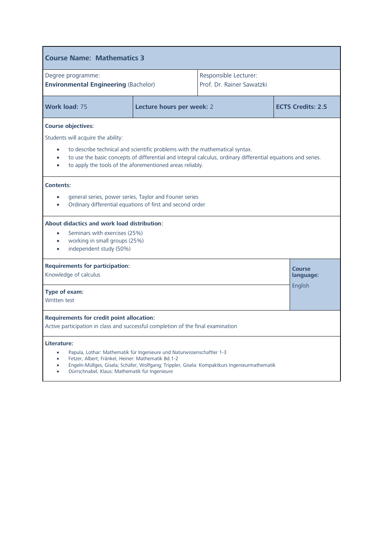| <b>Course Name: Mathematics 3</b>                                                                                                                                                                                                                                                                                                       |                                       |                                                                                              |                          |  |
|-----------------------------------------------------------------------------------------------------------------------------------------------------------------------------------------------------------------------------------------------------------------------------------------------------------------------------------------|---------------------------------------|----------------------------------------------------------------------------------------------|--------------------------|--|
| Degree programme:<br><b>Environmental Engineering (Bachelor)</b>                                                                                                                                                                                                                                                                        |                                       | Responsible Lecturer:<br>Prof. Dr. Rainer Sawatzki                                           |                          |  |
| Work load: 75                                                                                                                                                                                                                                                                                                                           | Lecture hours per week: 2             |                                                                                              | <b>ECTS Credits: 2.5</b> |  |
| <b>Course objectives:</b><br>Students will acquire the ability:<br>to describe technical and scientific problems with the mathematical syntax.<br>to use the basic concepts of differential and integral calculus, ordinary differential equations and series.<br>to apply the tools of the aforementioned areas reliably.<br>$\bullet$ |                                       |                                                                                              |                          |  |
| <b>Contents:</b><br>general series, power series, Taylor and Fourier series<br>$\bullet$<br>Ordinary differential equations of first and second order<br>About didactics and work load distribution:<br>Seminars with exercises (25%)<br>$\bullet$<br>working in small groups (25%)<br>$\bullet$<br>independent study (50%)             |                                       |                                                                                              |                          |  |
| <b>Requirements for participation:</b><br>Knowledge of calculus<br>Type of exam:<br><b>Written test</b>                                                                                                                                                                                                                                 | <b>Course</b><br>language:<br>English |                                                                                              |                          |  |
| <b>Requirements for credit point allocation:</b><br>Active participation in class and successful completion of the final examination                                                                                                                                                                                                    |                                       |                                                                                              |                          |  |
| Literature:<br>Papula, Lothar: Mathematik für Ingenieure und Naturwissenschaftler 1-3<br>$\bullet$<br>Fetzer, Albert; Fränkel, Heiner: Mathematik Bd.1-2<br>$\bullet$<br>Dürrschnabel, Klaus: Mathematik für Ingenieure                                                                                                                 |                                       | Engeln-Müllges, Gisela; Schäfer, Wolfgang; Trippler, Gisela: Kompaktkurs Ingenieurmathematik |                          |  |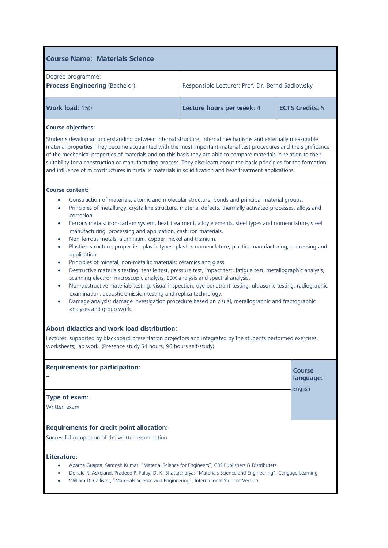| Degree programme:<br><b>Process Engineering (Bachelor)</b> | Responsible Lecturer: Prof. Dr. Bernd Sadlowsky |  |
|------------------------------------------------------------|-------------------------------------------------|--|
| Lecture hours per week: 4<br>Work load: 150                | <b>ECTS Credits: 5</b>                          |  |

#### **Course objectives:**

Students develop an understanding between internal structure, internal mechanisms and externally measurable material properties. They become acquainted with the most important material test procedures and the significance of the mechanical properties of materials and on this basis they are able to compare materials in relation to their suitability for a construction or manufacturing process. They also learn about the basic principles for the formation and influence of microstructures in metallic materials in solidification and heat treatment applications.

#### **Course content:**

- Construction of materials: atomic and molecular structure, bonds and principal material groups.
- Principles of metallurgy: crystalline structure, material defects, thermally activated processes, alloys and corrosion.
- Ferrous metals: iron-carbon system, heat treatment, alloy elements, steel types and nomenclature, steel manufacturing, processing and application, cast iron materials.
- Non-ferrous metals: aluminium, copper, nickel and titanium.
- Plastics: structure, properties, plastic types, plastics nomenclature, plastics manufacturing, processing and application.
- Principles of mineral, non-metallic materials: ceramics and glass.
- Destructive materials testing: tensile test, pressure test, impact test, fatigue test, metallographic analysis, scanning electron microscopic analysis, EDX analysis and spectral analysis.
- Non-destructive materials testing: visual inspection, dye penetrant testing, ultrasonic testing, radiographic examination, acoustic emission testing and replica technology.
- Damage analysis: damage investigation procedure based on visual, metallographic and fractographic analyses and group work.

### **About [didactics](http://dict.leo.org/se?lp=ende&p=/Mn4k.&search=didactics) and work load distribution:**

Lectures, supported by blackboard presentation projectors and integrated by the students performed exercises, worksheets; lab work. (Presence study 54 hours, 96 hours self-study)

### **Requirements for participation:** – **Course**

**language:**

English

#### **Type of exam:**

Written exam

### **Requirements for credit point allocation:**

Successful completion of the written examination

#### **Literature:**

- Aparna Guapta, Santosh Kumar: "Material Science for Engineers", CBS Publishers & Distributers
- Donald R. Askeland, Pradeep P. Fulay, D. K. Bhattacharya: "Materials Science and Engineering"; Cengage Learning
- William D. Callister, "Materials Science and Engineering", International Student Version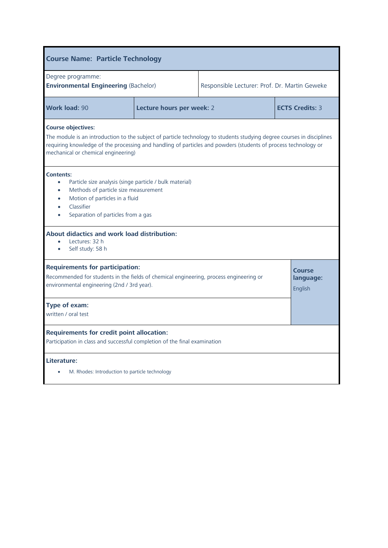| <b>Course Name: Particle Technology</b>                                                                                                                                                                                                                                                                      |                           |                                               |                                       |  |
|--------------------------------------------------------------------------------------------------------------------------------------------------------------------------------------------------------------------------------------------------------------------------------------------------------------|---------------------------|-----------------------------------------------|---------------------------------------|--|
| Degree programme:<br><b>Environmental Engineering (Bachelor)</b>                                                                                                                                                                                                                                             |                           | Responsible Lecturer: Prof. Dr. Martin Geweke |                                       |  |
| <b>Work load: 90</b>                                                                                                                                                                                                                                                                                         | Lecture hours per week: 2 |                                               | <b>ECTS Credits: 3</b>                |  |
| <b>Course objectives:</b><br>The module is an introduction to the subject of particle technology to students studying degree courses in disciplines<br>requiring knowledge of the processing and handling of particles and powders (students of process technology or<br>mechanical or chemical engineering) |                           |                                               |                                       |  |
| <b>Contents:</b><br>Particle size analysis (singe particle / bulk material)<br>$\bullet$<br>Methods of particle size measurement<br>$\bullet$<br>Motion of particles in a fluid<br>Classifier<br>Separation of particles from a gas                                                                          |                           |                                               |                                       |  |
| About didactics and work load distribution:<br>Lectures: 32 h<br>$\blacksquare$<br>Self study: 58 h<br>$\bullet$                                                                                                                                                                                             |                           |                                               |                                       |  |
| <b>Requirements for participation:</b><br>Recommended for students in the fields of chemical engineering, process engineering or<br>environmental engineering (2nd / 3rd year).                                                                                                                              |                           |                                               | <b>Course</b><br>language:<br>English |  |
| Type of exam:<br>written / oral test                                                                                                                                                                                                                                                                         |                           |                                               |                                       |  |
| <b>Requirements for credit point allocation:</b><br>Participation in class and successful completion of the final examination                                                                                                                                                                                |                           |                                               |                                       |  |
| Literature:<br>M. Rhodes: Introduction to particle technology                                                                                                                                                                                                                                                |                           |                                               |                                       |  |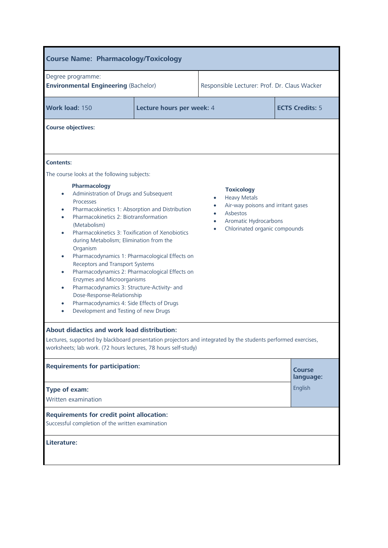| <b>Course Name: Pharmacology/Toxicology</b>                                                                                                                                                                                                                                                                                                                                                                                                                                                                                                                                                                                                                                                                                                           |                           |                                                                                            |                                                                     |  |
|-------------------------------------------------------------------------------------------------------------------------------------------------------------------------------------------------------------------------------------------------------------------------------------------------------------------------------------------------------------------------------------------------------------------------------------------------------------------------------------------------------------------------------------------------------------------------------------------------------------------------------------------------------------------------------------------------------------------------------------------------------|---------------------------|--------------------------------------------------------------------------------------------|---------------------------------------------------------------------|--|
| Degree programme:<br><b>Environmental Engineering (Bachelor)</b>                                                                                                                                                                                                                                                                                                                                                                                                                                                                                                                                                                                                                                                                                      |                           | Responsible Lecturer: Prof. Dr. Claus Wacker                                               |                                                                     |  |
| Work load: 150                                                                                                                                                                                                                                                                                                                                                                                                                                                                                                                                                                                                                                                                                                                                        | Lecture hours per week: 4 | <b>ECTS Credits: 5</b>                                                                     |                                                                     |  |
| <b>Course objectives:</b>                                                                                                                                                                                                                                                                                                                                                                                                                                                                                                                                                                                                                                                                                                                             |                           |                                                                                            |                                                                     |  |
| <b>Contents:</b><br>The course looks at the following subjects:                                                                                                                                                                                                                                                                                                                                                                                                                                                                                                                                                                                                                                                                                       |                           |                                                                                            |                                                                     |  |
| Pharmacology<br>Administration of Drugs and Subsequent<br>$\bullet$<br>Processes<br>Pharmacokinetics 1: Absorption and Distribution<br>$\bullet$<br>Pharmacokinetics 2: Biotransformation<br>$\bullet$<br>(Metabolism)<br>Pharmacokinetics 3: Toxification of Xenobiotics<br>$\bullet$<br>during Metabolism; Elimination from the<br>Organism<br>Pharmacodynamics 1: Pharmacological Effects on<br>$\bullet$<br>Receptors and Transport Systems<br>Pharmacodynamics 2: Pharmacological Effects on<br>$\bullet$<br>Enzymes and Microorganisms<br>Pharmacodynamics 3: Structure-Activity- and<br>$\bullet$<br>Dose-Response-Relationship<br>Pharmacodynamics 4: Side Effects of Drugs<br>$\bullet$<br>Development and Testing of new Drugs<br>$\bullet$ |                           | <b>Toxicology</b><br><b>Heavy Metals</b><br>$\bullet$<br>Asbestos<br>Aromatic Hydrocarbons | Air-way poisons and irritant gases<br>Chlorinated organic compounds |  |
| About didactics and work load distribution:<br>Lectures, supported by blackboard presentation projectors and integrated by the students performed exercises,<br>worksheets; lab work. (72 hours lectures, 78 hours self-study)                                                                                                                                                                                                                                                                                                                                                                                                                                                                                                                        |                           |                                                                                            |                                                                     |  |
| <b>Requirements for participation:</b>                                                                                                                                                                                                                                                                                                                                                                                                                                                                                                                                                                                                                                                                                                                |                           |                                                                                            | <b>Course</b><br>language:                                          |  |
| Type of exam:<br>Written examination                                                                                                                                                                                                                                                                                                                                                                                                                                                                                                                                                                                                                                                                                                                  |                           |                                                                                            | English                                                             |  |
| <b>Requirements for credit point allocation:</b><br>Successful completion of the written examination                                                                                                                                                                                                                                                                                                                                                                                                                                                                                                                                                                                                                                                  |                           |                                                                                            |                                                                     |  |
| Literature:                                                                                                                                                                                                                                                                                                                                                                                                                                                                                                                                                                                                                                                                                                                                           |                           |                                                                                            |                                                                     |  |